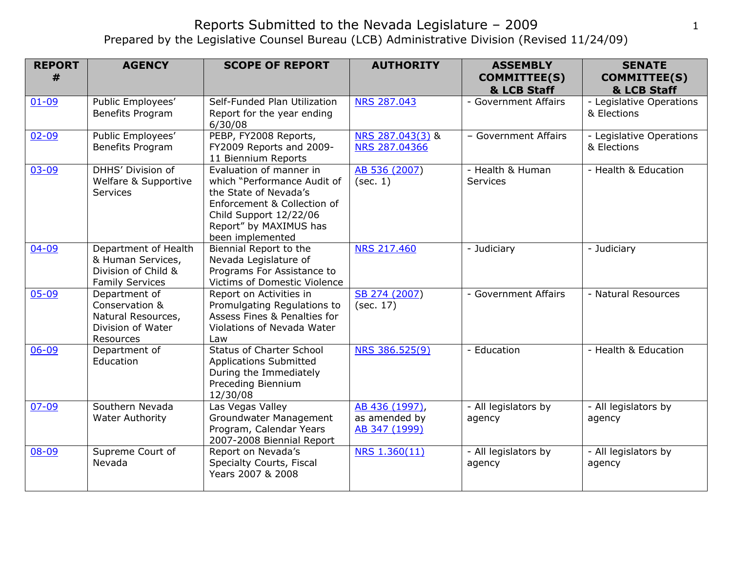# Reports Submitted to the Nevada Legislature - 2009 1 Prepared by the Legislative Counsel Bureau (LCB) Administrative Division (Revised 11/24/09)

| <b>REPORT</b><br># | <b>AGENCY</b>                                                                              | <b>SCOPE OF REPORT</b>                                                                                                                                                                 | <b>AUTHORITY</b>                                 | <b>ASSEMBLY</b><br><b>COMMITTEE(S)</b><br>& LCB Staff | <b>SENATE</b><br><b>COMMITTEE(S)</b><br>& LCB Staff |
|--------------------|--------------------------------------------------------------------------------------------|----------------------------------------------------------------------------------------------------------------------------------------------------------------------------------------|--------------------------------------------------|-------------------------------------------------------|-----------------------------------------------------|
| $01 - 09$          | Public Employees'<br>Benefits Program                                                      | Self-Funded Plan Utilization<br>Report for the year ending<br>6/30/08                                                                                                                  | <b>NRS 287.043</b>                               | - Government Affairs                                  | - Legislative Operations<br>& Elections             |
| $02 - 09$          | Public Employees'<br>Benefits Program                                                      | PEBP, FY2008 Reports,<br>FY2009 Reports and 2009-<br>11 Biennium Reports                                                                                                               | NRS 287.043(3) &<br>NRS 287.04366                | - Government Affairs                                  | - Legislative Operations<br>& Elections             |
| $03 - 09$          | DHHS' Division of<br>Welfare & Supportive<br><b>Services</b>                               | Evaluation of manner in<br>which "Performance Audit of<br>the State of Nevada's<br>Enforcement & Collection of<br>Child Support 12/22/06<br>Report" by MAXIMUS has<br>been implemented | AB 536 (2007)<br>(sec. 1)                        | - Health & Human<br><b>Services</b>                   | - Health & Education                                |
| $04 - 09$          | Department of Health<br>& Human Services,<br>Division of Child &<br><b>Family Services</b> | Biennial Report to the<br>Nevada Legislature of<br>Programs For Assistance to<br>Victims of Domestic Violence                                                                          | <b>NRS 217.460</b>                               | - Judiciary                                           | - Judiciary                                         |
| $05 - 09$          | Department of<br>Conservation &<br>Natural Resources,<br>Division of Water<br>Resources    | Report on Activities in<br>Promulgating Regulations to<br>Assess Fines & Penalties for<br>Violations of Nevada Water<br>Law                                                            | SB 274 (2007)<br>(sec. 17)                       | - Government Affairs                                  | - Natural Resources                                 |
| $06 - 09$          | Department of<br>Education                                                                 | <b>Status of Charter School</b><br><b>Applications Submitted</b><br>During the Immediately<br>Preceding Biennium<br>12/30/08                                                           | NRS 386.525(9)                                   | - Education                                           | - Health & Education                                |
| $07 - 09$          | Southern Nevada<br><b>Water Authority</b>                                                  | Las Vegas Valley<br>Groundwater Management<br>Program, Calendar Years<br>2007-2008 Biennial Report                                                                                     | AB 436 (1997),<br>as amended by<br>AB 347 (1999) | - All legislators by<br>agency                        | - All legislators by<br>agency                      |
| 08-09              | Supreme Court of<br>Nevada                                                                 | Report on Nevada's<br>Specialty Courts, Fiscal<br>Years 2007 & 2008                                                                                                                    | NRS 1.360(11)                                    | - All legislators by<br>agency                        | - All legislators by<br>agency                      |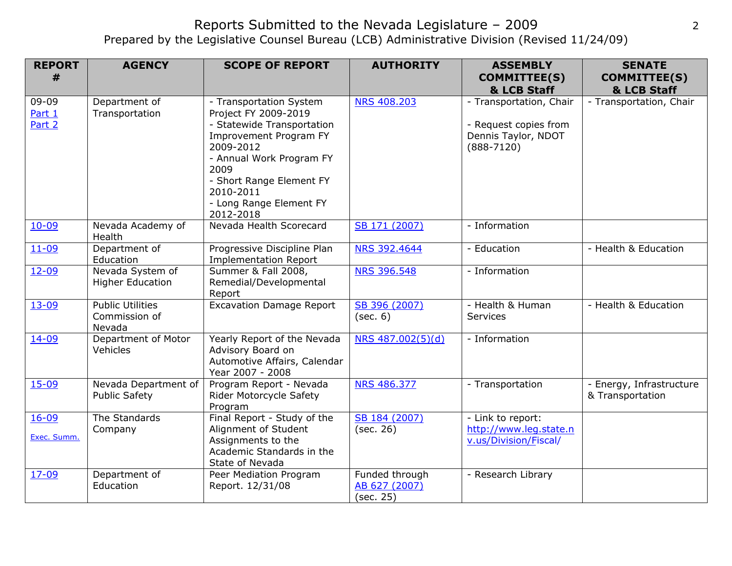### Reports Submitted to the Nevada Legislature - 2009 2001 Prepared by the Legislative Counsel Bureau (LCB) Administrative Division (Revised 11/24/09)

| <b>REPORT</b><br>#  | <b>AGENCY</b>                                      | <b>SCOPE OF REPORT</b>                                                                                                                                                                 | <b>AUTHORITY</b>                             | <b>ASSEMBLY</b><br><b>COMMITTEE(S)</b>                         | <b>SENATE</b><br><b>COMMITTEE(S)</b>         |
|---------------------|----------------------------------------------------|----------------------------------------------------------------------------------------------------------------------------------------------------------------------------------------|----------------------------------------------|----------------------------------------------------------------|----------------------------------------------|
|                     |                                                    |                                                                                                                                                                                        |                                              | & LCB Staff                                                    | & LCB Staff                                  |
| $09 - 09$<br>Part 1 | Department of<br>Transportation                    | - Transportation System<br>Project FY 2009-2019                                                                                                                                        | <b>NRS 408.203</b>                           | - Transportation, Chair                                        | - Transportation, Chair                      |
| Part 2              |                                                    | - Statewide Transportation<br>Improvement Program FY<br>2009-2012<br>- Annual Work Program FY<br>2009<br>- Short Range Element FY<br>2010-2011<br>- Long Range Element FY<br>2012-2018 |                                              | - Request copies from<br>Dennis Taylor, NDOT<br>$(888 - 7120)$ |                                              |
| $10 - 09$           | Nevada Academy of<br>Health                        | Nevada Health Scorecard                                                                                                                                                                | SB 171 (2007)                                | - Information                                                  |                                              |
| $11 - 09$           | Department of<br>Education                         | Progressive Discipline Plan<br><b>Implementation Report</b>                                                                                                                            | NRS 392.4644                                 | - Education                                                    | - Health & Education                         |
| $12 - 09$           | Nevada System of<br><b>Higher Education</b>        | Summer & Fall 2008,<br>Remedial/Developmental<br>Report                                                                                                                                | <b>NRS 396.548</b>                           | - Information                                                  |                                              |
| $13 - 09$           | <b>Public Utilities</b><br>Commission of<br>Nevada | <b>Excavation Damage Report</b>                                                                                                                                                        | SB 396 (2007)<br>(sec. 6)                    | - Health & Human<br><b>Services</b>                            | - Health & Education                         |
| $14 - 09$           | Department of Motor<br>Vehicles                    | Yearly Report of the Nevada<br>Advisory Board on<br>Automotive Affairs, Calendar<br>Year 2007 - 2008                                                                                   | $NRS$ 487.002(5)(d)                          | - Information                                                  |                                              |
| $15 - 09$           | Nevada Department of<br><b>Public Safety</b>       | Program Report - Nevada<br>Rider Motorcycle Safety<br>Program                                                                                                                          | <b>NRS 486.377</b>                           | - Transportation                                               | - Energy, Infrastructure<br>& Transportation |
| $16 - 09$           | The Standards                                      | Final Report - Study of the                                                                                                                                                            | SB 184 (2007)                                | - Link to report:                                              |                                              |
| Exec. Summ.         | Company                                            | Alignment of Student<br>Assignments to the<br>Academic Standards in the<br>State of Nevada                                                                                             | (sec. 26)                                    | http://www.leg.state.n<br>v.us/Division/Fiscal/                |                                              |
| $17 - 09$           | Department of<br>Education                         | Peer Mediation Program<br>Report. 12/31/08                                                                                                                                             | Funded through<br>AB 627 (2007)<br>(sec. 25) | - Research Library                                             |                                              |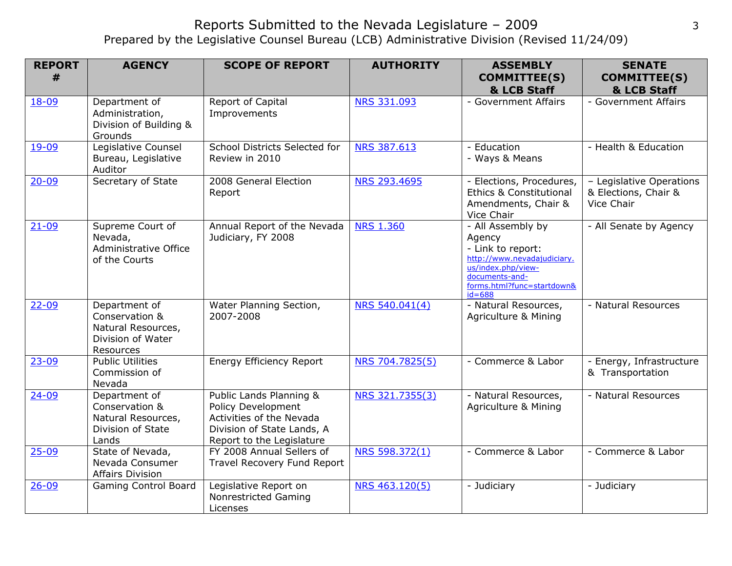# Reports Submitted to the Nevada Legislature - 2009 33 Prepared by the Legislative Counsel Bureau (LCB) Administrative Division (Revised 11/24/09)

| <b>REPORT</b><br># | <b>AGENCY</b>                                                                           | <b>SCOPE OF REPORT</b>                                                                                                               | <b>AUTHORITY</b>   | <b>ASSEMBLY</b><br><b>COMMITTEE(S)</b><br>& LCB Staff                                                                                                               | <b>SENATE</b><br>COMMITTEE(S)<br>& LCB Staff                   |
|--------------------|-----------------------------------------------------------------------------------------|--------------------------------------------------------------------------------------------------------------------------------------|--------------------|---------------------------------------------------------------------------------------------------------------------------------------------------------------------|----------------------------------------------------------------|
| 18-09              | Department of<br>Administration,<br>Division of Building &<br>Grounds                   | Report of Capital<br>Improvements                                                                                                    | <b>NRS 331.093</b> | - Government Affairs                                                                                                                                                | - Government Affairs                                           |
| 19-09              | Legislative Counsel<br>Bureau, Legislative<br>Auditor                                   | School Districts Selected for<br>Review in 2010                                                                                      | <b>NRS 387.613</b> | - Education<br>- Ways & Means                                                                                                                                       | - Health & Education                                           |
| $20 - 09$          | Secretary of State                                                                      | 2008 General Election<br>Report                                                                                                      | NRS 293.4695       | - Elections, Procedures,<br><b>Ethics &amp; Constitutional</b><br>Amendments, Chair &<br>Vice Chair                                                                 | - Legislative Operations<br>& Elections, Chair &<br>Vice Chair |
| $21 - 09$          | Supreme Court of<br>Nevada,<br>Administrative Office<br>of the Courts                   | Annual Report of the Nevada<br>Judiciary, FY 2008                                                                                    | <b>NRS 1.360</b>   | - All Assembly by<br>Agency<br>- Link to report:<br>http://www.nevadajudiciary.<br>us/index.php/view-<br>documents-and-<br>forms.html?func=startdown&<br>$id = 688$ | - All Senate by Agency                                         |
| $22 - 09$          | Department of<br>Conservation &<br>Natural Resources,<br>Division of Water<br>Resources | Water Planning Section,<br>2007-2008                                                                                                 | NRS 540.041(4)     | - Natural Resources,<br>Agriculture & Mining                                                                                                                        | - Natural Resources                                            |
| $23 - 09$          | <b>Public Utilities</b><br>Commission of<br>Nevada                                      | <b>Energy Efficiency Report</b>                                                                                                      | NRS 704.7825(5)    | - Commerce & Labor                                                                                                                                                  | - Energy, Infrastructure<br>& Transportation                   |
| $24 - 09$          | Department of<br>Conservation &<br>Natural Resources,<br>Division of State<br>Lands     | Public Lands Planning &<br>Policy Development<br>Activities of the Nevada<br>Division of State Lands, A<br>Report to the Legislature | NRS 321.7355(3)    | - Natural Resources,<br>Agriculture & Mining                                                                                                                        | - Natural Resources                                            |
| $25 - 09$          | State of Nevada,<br>Nevada Consumer<br><b>Affairs Division</b>                          | FY 2008 Annual Sellers of<br>Travel Recovery Fund Report                                                                             | NRS 598.372(1)     | - Commerce & Labor                                                                                                                                                  | - Commerce & Labor                                             |
| $26 - 09$          | <b>Gaming Control Board</b>                                                             | Legislative Report on<br>Nonrestricted Gaming<br>Licenses                                                                            | NRS 463.120(5)     | - Judiciary                                                                                                                                                         | - Judiciary                                                    |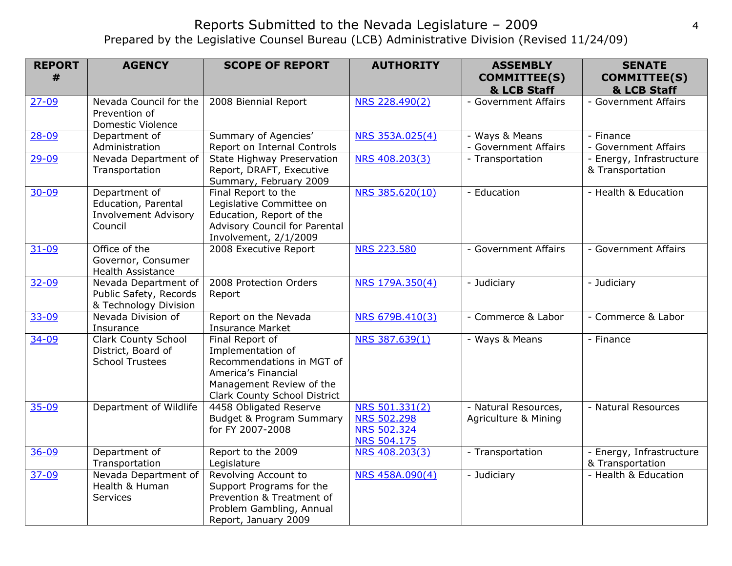# Reports Submitted to the Nevada Legislature - 2009 44 Prepared by the Legislative Counsel Bureau (LCB) Administrative Division (Revised 11/24/09)

| <b>REPORT</b><br># | <b>AGENCY</b>                                                                  | <b>SCOPE OF REPORT</b>                                                                                                                               | <b>AUTHORITY</b>                                                                 | <b>ASSEMBLY</b><br><b>COMMITTEE(S)</b><br>& LCB Staff | <b>SENATE</b><br><b>COMMITTEE(S)</b><br>& LCB Staff |
|--------------------|--------------------------------------------------------------------------------|------------------------------------------------------------------------------------------------------------------------------------------------------|----------------------------------------------------------------------------------|-------------------------------------------------------|-----------------------------------------------------|
| $27 - 09$          | Nevada Council for the<br>Prevention of<br><b>Domestic Violence</b>            | 2008 Biennial Report                                                                                                                                 | NRS 228.490(2)                                                                   | - Government Affairs                                  | - Government Affairs                                |
| $28 - 09$          | Department of<br>Administration                                                | Summary of Agencies'<br>Report on Internal Controls                                                                                                  | NRS 353A.025(4)                                                                  | - Ways & Means<br>- Government Affairs                | - Finance<br>- Government Affairs                   |
| 29-09              | Nevada Department of<br>Transportation                                         | State Highway Preservation<br>Report, DRAFT, Executive<br>Summary, February 2009                                                                     | NRS 408.203(3)                                                                   | - Transportation                                      | - Energy, Infrastructure<br>& Transportation        |
| $30 - 09$          | Department of<br>Education, Parental<br><b>Involvement Advisory</b><br>Council | Final Report to the<br>Legislative Committee on<br>Education, Report of the<br>Advisory Council for Parental<br>Involvement, 2/1/2009                | NRS 385.620(10)                                                                  | - Education                                           | - Health & Education                                |
| $31 - 09$          | Office of the<br>Governor, Consumer<br><b>Health Assistance</b>                | 2008 Executive Report                                                                                                                                | <b>NRS 223.580</b>                                                               | - Government Affairs                                  | - Government Affairs                                |
| $32 - 09$          | Nevada Department of<br>Public Safety, Records<br>& Technology Division        | 2008 Protection Orders<br>Report                                                                                                                     | NRS 179A.350(4)                                                                  | - Judiciary                                           | - Judiciary                                         |
| $33 - 09$          | Nevada Division of<br>Insurance                                                | Report on the Nevada<br><b>Insurance Market</b>                                                                                                      | NRS 679B.410(3)                                                                  | - Commerce & Labor                                    | - Commerce & Labor                                  |
| 34-09              | <b>Clark County School</b><br>District, Board of<br><b>School Trustees</b>     | Final Report of<br>Implementation of<br>Recommendations in MGT of<br>America's Financial<br>Management Review of the<br>Clark County School District | NRS 387.639(1)                                                                   | - Ways & Means                                        | - Finance                                           |
| $35 - 09$          | Department of Wildlife                                                         | 4458 Obligated Reserve<br><b>Budget &amp; Program Summary</b><br>for FY 2007-2008                                                                    | NRS 501.331(2)<br><b>NRS 502.298</b><br><b>NRS 502.324</b><br><b>NRS 504.175</b> | - Natural Resources,<br>Agriculture & Mining          | - Natural Resources                                 |
| $36 - 09$          | Department of<br>Transportation                                                | Report to the 2009<br>Legislature                                                                                                                    | NRS 408.203(3)                                                                   | - Transportation                                      | - Energy, Infrastructure<br>& Transportation        |
| $37 - 09$          | Nevada Department of<br>Health & Human<br><b>Services</b>                      | Revolving Account to<br>Support Programs for the<br>Prevention & Treatment of<br>Problem Gambling, Annual<br>Report, January 2009                    | NRS 458A.090(4)                                                                  | - Judiciary                                           | - Health & Education                                |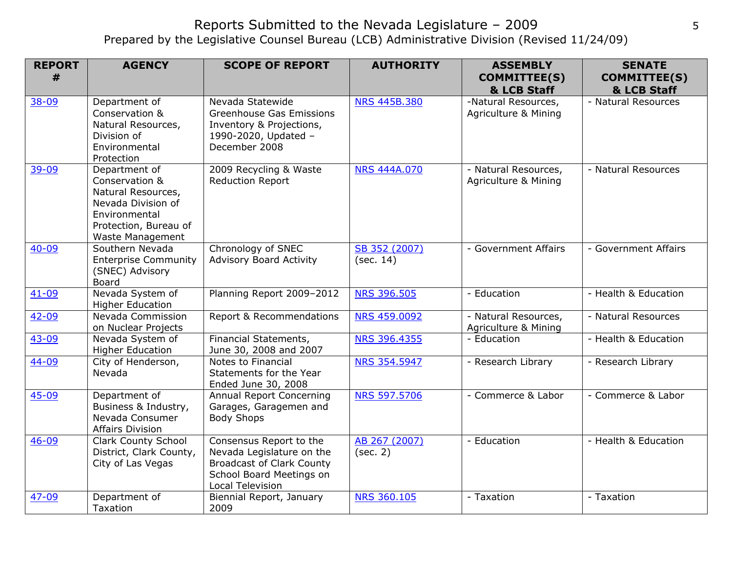# Reports Submitted to the Nevada Legislature - 2009 Shares Assembly Prepared by the Legislative Counsel Bureau (LCB) Administrative Division (Revised 11/24/09)

| <b>REPORT</b><br># | <b>AGENCY</b>                                                                                                                             | <b>SCOPE OF REPORT</b>                                                                                                                          | <b>AUTHORITY</b>           | <b>ASSEMBLY</b><br><b>COMMITTEE(S)</b><br>& LCB Staff | <b>SENATE</b><br>COMMITTEE(S)<br>& LCB Staff |
|--------------------|-------------------------------------------------------------------------------------------------------------------------------------------|-------------------------------------------------------------------------------------------------------------------------------------------------|----------------------------|-------------------------------------------------------|----------------------------------------------|
| $38 - 09$          | Department of<br>Conservation &<br>Natural Resources,<br>Division of<br>Environmental<br>Protection                                       | Nevada Statewide<br><b>Greenhouse Gas Emissions</b><br>Inventory & Projections,<br>1990-2020, Updated -<br>December 2008                        | <b>NRS 445B.380</b>        | -Natural Resources,<br>Agriculture & Mining           | - Natural Resources                          |
| 39-09              | Department of<br>Conservation &<br>Natural Resources,<br>Nevada Division of<br>Environmental<br>Protection, Bureau of<br>Waste Management | 2009 Recycling & Waste<br><b>Reduction Report</b>                                                                                               | <b>NRS 444A.070</b>        | - Natural Resources,<br>Agriculture & Mining          | - Natural Resources                          |
| $40 - 09$          | Southern Nevada<br><b>Enterprise Community</b><br>(SNEC) Advisory<br>Board                                                                | Chronology of SNEC<br><b>Advisory Board Activity</b>                                                                                            | SB 352 (2007)<br>(sec. 14) | - Government Affairs                                  | - Government Affairs                         |
| $41 - 09$          | Nevada System of<br><b>Higher Education</b>                                                                                               | Planning Report 2009-2012                                                                                                                       | <b>NRS 396.505</b>         | - Education                                           | - Health & Education                         |
| $42 - 09$          | Nevada Commission<br>on Nuclear Projects                                                                                                  | Report & Recommendations                                                                                                                        | <b>NRS 459.0092</b>        | - Natural Resources,<br>Agriculture & Mining          | - Natural Resources                          |
| $43 - 09$          | Nevada System of<br><b>Higher Education</b>                                                                                               | Financial Statements,<br>June 30, 2008 and 2007                                                                                                 | NRS 396.4355               | - Education                                           | - Health & Education                         |
| $44 - 09$          | City of Henderson,<br>Nevada                                                                                                              | Notes to Financial<br>Statements for the Year<br>Ended June 30, 2008                                                                            | <b>NRS 354.5947</b>        | - Research Library                                    | - Research Library                           |
| $45 - 09$          | Department of<br>Business & Industry,<br>Nevada Consumer<br><b>Affairs Division</b>                                                       | <b>Annual Report Concerning</b><br>Garages, Garagemen and<br><b>Body Shops</b>                                                                  | <b>NRS 597.5706</b>        | - Commerce & Labor                                    | - Commerce & Labor                           |
| $46 - 09$          | <b>Clark County School</b><br>District, Clark County,<br>City of Las Vegas                                                                | Consensus Report to the<br>Nevada Legislature on the<br><b>Broadcast of Clark County</b><br>School Board Meetings on<br><b>Local Television</b> | AB 267 (2007)<br>(sec. 2)  | - Education                                           | - Health & Education                         |
| 47-09              | Department of<br>Taxation                                                                                                                 | Biennial Report, January<br>2009                                                                                                                | <b>NRS 360.105</b>         | - Taxation                                            | - Taxation                                   |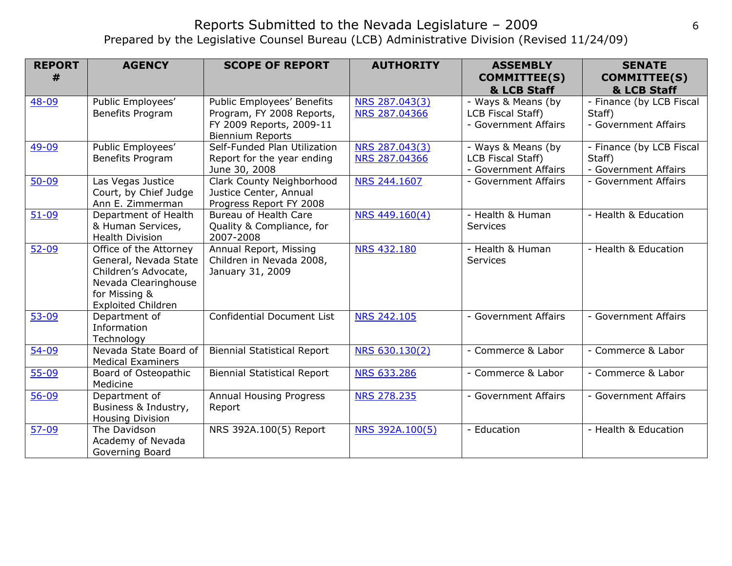### Reports Submitted to the Nevada Legislature - 2009 https://www.com/2009/https://www.com/2009/https://www.com/20 Prepared by the Legislative Counsel Bureau (LCB) Administrative Division (Revised 11/24/09)

| <b>REPORT</b><br># | <b>AGENCY</b>                                                                                                                                 | <b>SCOPE OF REPORT</b>                                                                                         | <b>AUTHORITY</b>                | <b>ASSEMBLY</b><br><b>COMMITTEE(S)</b><br>& LCB Staff           | <b>SENATE</b><br><b>COMMITTEE(S)</b><br>& LCB Staff        |
|--------------------|-----------------------------------------------------------------------------------------------------------------------------------------------|----------------------------------------------------------------------------------------------------------------|---------------------------------|-----------------------------------------------------------------|------------------------------------------------------------|
| 48-09              | Public Employees'<br><b>Benefits Program</b>                                                                                                  | Public Employees' Benefits<br>Program, FY 2008 Reports,<br>FY 2009 Reports, 2009-11<br><b>Biennium Reports</b> | NRS 287.043(3)<br>NRS 287.04366 | - Ways & Means (by<br>LCB Fiscal Staff)<br>- Government Affairs | - Finance (by LCB Fiscal<br>Staff)<br>- Government Affairs |
| 49-09              | Public Employees'<br><b>Benefits Program</b>                                                                                                  | Self-Funded Plan Utilization<br>Report for the year ending<br>June 30, 2008                                    | NRS 287.043(3)<br>NRS 287.04366 | - Ways & Means (by<br>LCB Fiscal Staff)<br>- Government Affairs | - Finance (by LCB Fiscal<br>Staff)<br>- Government Affairs |
| $50 - 09$          | Las Vegas Justice<br>Court, by Chief Judge<br>Ann E. Zimmerman                                                                                | Clark County Neighborhood<br>Justice Center, Annual<br>Progress Report FY 2008                                 | NRS 244.1607                    | - Government Affairs                                            | - Government Affairs                                       |
| $51 - 09$          | Department of Health<br>& Human Services,<br><b>Health Division</b>                                                                           | Bureau of Health Care<br>Quality & Compliance, for<br>2007-2008                                                | NRS 449.160(4)                  | - Health & Human<br>Services                                    | - Health & Education                                       |
| $52 - 09$          | Office of the Attorney<br>General, Nevada State<br>Children's Advocate,<br>Nevada Clearinghouse<br>for Missing &<br><b>Exploited Children</b> | Annual Report, Missing<br>Children in Nevada 2008,<br>January 31, 2009                                         | <b>NRS 432.180</b>              | - Health & Human<br><b>Services</b>                             | - Health & Education                                       |
| $53 - 09$          | Department of<br>Information<br>Technology                                                                                                    | <b>Confidential Document List</b>                                                                              | <b>NRS 242.105</b>              | - Government Affairs                                            | - Government Affairs                                       |
| $54 - 09$          | Nevada State Board of<br><b>Medical Examiners</b>                                                                                             | <b>Biennial Statistical Report</b>                                                                             | NRS 630.130(2)                  | - Commerce & Labor                                              | - Commerce & Labor                                         |
| $55 - 09$          | Board of Osteopathic<br>Medicine                                                                                                              | <b>Biennial Statistical Report</b>                                                                             | <b>NRS 633.286</b>              | - Commerce & Labor                                              | - Commerce & Labor                                         |
| $56 - 09$          | Department of<br>Business & Industry,<br><b>Housing Division</b>                                                                              | <b>Annual Housing Progress</b><br>Report                                                                       | <b>NRS 278.235</b>              | - Government Affairs                                            | - Government Affairs                                       |
| $57 - 09$          | The Davidson<br>Academy of Nevada<br>Governing Board                                                                                          | NRS 392A.100(5) Report                                                                                         | NRS 392A.100(5)                 | - Education                                                     | - Health & Education                                       |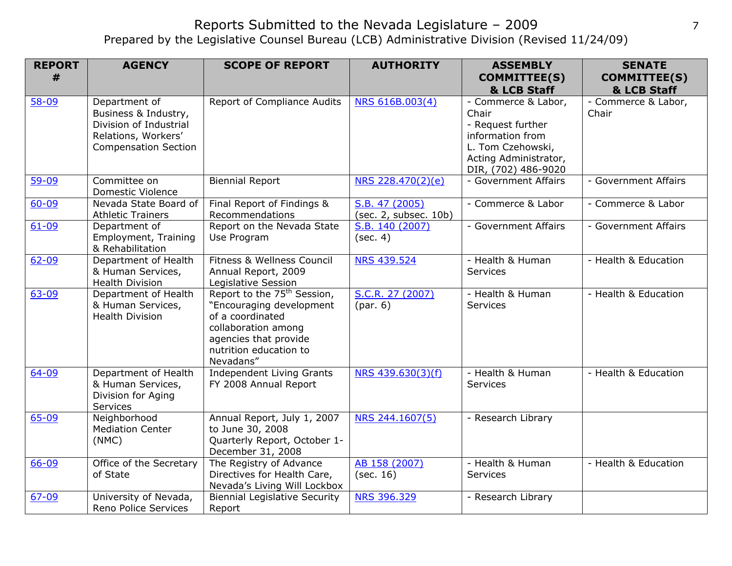# Reports Submitted to the Nevada Legislature - 2009 7 Prepared by the Legislative Counsel Bureau (LCB) Administrative Division (Revised 11/24/09)

| <b>REPORT</b><br># | <b>AGENCY</b>                                                                                                         | <b>SCOPE OF REPORT</b>                                                                                                                                                         | <b>AUTHORITY</b>                        | <b>ASSEMBLY</b><br><b>COMMITTEE(S)</b><br>& LCB Staff                                                                                      | <b>SENATE</b><br><b>COMMITTEE(S)</b><br>& LCB Staff |
|--------------------|-----------------------------------------------------------------------------------------------------------------------|--------------------------------------------------------------------------------------------------------------------------------------------------------------------------------|-----------------------------------------|--------------------------------------------------------------------------------------------------------------------------------------------|-----------------------------------------------------|
| $58 - 09$          | Department of<br>Business & Industry,<br>Division of Industrial<br>Relations, Workers'<br><b>Compensation Section</b> | Report of Compliance Audits                                                                                                                                                    | NRS 616B.003(4)                         | - Commerce & Labor,<br>Chair<br>- Request further<br>information from<br>L. Tom Czehowski,<br>Acting Administrator,<br>DIR, (702) 486-9020 | - Commerce & Labor,<br>Chair                        |
| $59 - 09$          | Committee on<br><b>Domestic Violence</b>                                                                              | <b>Biennial Report</b>                                                                                                                                                         | NRS 228.470(2)(e)                       | - Government Affairs                                                                                                                       | - Government Affairs                                |
| $60 - 09$          | Nevada State Board of<br><b>Athletic Trainers</b>                                                                     | Final Report of Findings &<br>Recommendations                                                                                                                                  | S.B. 47 (2005)<br>(sec. 2, subsec. 10b) | - Commerce & Labor                                                                                                                         | - Commerce & Labor                                  |
| $61 - 09$          | Department of<br>Employment, Training<br>& Rehabilitation                                                             | Report on the Nevada State<br>Use Program                                                                                                                                      | S.B. 140 (2007)<br>(sec. 4)             | - Government Affairs                                                                                                                       | - Government Affairs                                |
| 62-09              | Department of Health<br>& Human Services,<br><b>Health Division</b>                                                   | Fitness & Wellness Council<br>Annual Report, 2009<br>Legislative Session                                                                                                       | <b>NRS 439.524</b>                      | - Health & Human<br>Services                                                                                                               | - Health & Education                                |
| 63-09              | Department of Health<br>& Human Services,<br><b>Health Division</b>                                                   | Report to the 75 <sup>th</sup> Session,<br>"Encouraging development<br>of a coordinated<br>collaboration among<br>agencies that provide<br>nutrition education to<br>Nevadans" | S.C.R. 27 (2007)                        | - Health & Human<br><b>Services</b>                                                                                                        | - Health & Education                                |
| 64-09              | Department of Health<br>& Human Services,<br>Division for Aging<br>Services                                           | <b>Independent Living Grants</b><br>FY 2008 Annual Report                                                                                                                      | NRS 439.630(3)(f)                       | - Health & Human<br>Services                                                                                                               | - Health & Education                                |
| $65 - 09$          | Neighborhood<br><b>Mediation Center</b><br>(NMC)                                                                      | Annual Report, July 1, 2007<br>to June 30, 2008<br>Quarterly Report, October 1-<br>December 31, 2008                                                                           | NRS 244.1607(5)                         | - Research Library                                                                                                                         |                                                     |
| 66-09              | Office of the Secretary<br>of State                                                                                   | The Registry of Advance<br>Directives for Health Care,<br>Nevada's Living Will Lockbox                                                                                         | AB 158 (2007)<br>(sec. 16)              | - Health & Human<br>Services                                                                                                               | - Health & Education                                |
| 67-09              | University of Nevada,<br>Reno Police Services                                                                         | <b>Biennial Legislative Security</b><br>Report                                                                                                                                 | <b>NRS 396.329</b>                      | - Research Library                                                                                                                         |                                                     |